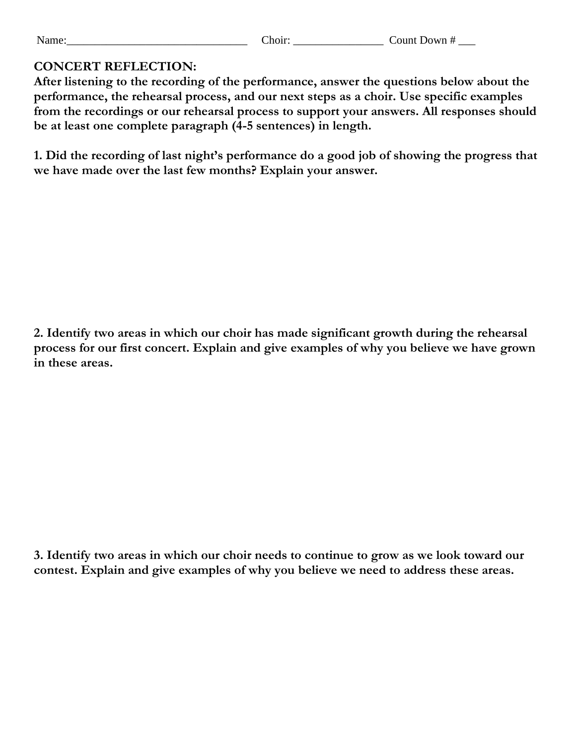| . T<br>Name | $\sim$ 4 $\sim$<br>r 1 6<br>. | :ount<br>Jown<br> |
|-------------|-------------------------------|-------------------|
|             |                               |                   |

## **CONCERT REFLECTION:**

**After listening to the recording of the performance, answer the questions below about the performance, the rehearsal process, and our next steps as a choir. Use specific examples from the recordings or our rehearsal process to support your answers. All responses should be at least one complete paragraph (4-5 sentences) in length.**

**1. Did the recording of last night's performance do a good job of showing the progress that we have made over the last few months? Explain your answer.**

**2. Identify two areas in which our choir has made significant growth during the rehearsal process for our first concert. Explain and give examples of why you believe we have grown in these areas.**

**3. Identify two areas in which our choir needs to continue to grow as we look toward our contest. Explain and give examples of why you believe we need to address these areas.**